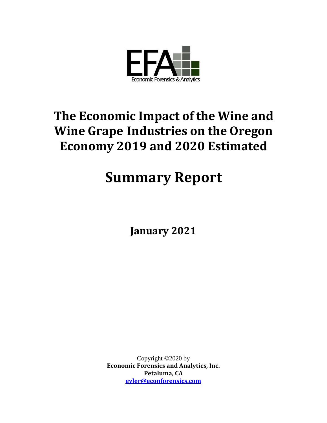

# **The Economic Impact of the Wine and Wine Grape Industries on the Oregon Economy 2019 and 2020 Estimated**

# **Summary Report**

**January 2021**

Copyright ©2020 by **Economic Forensics and Analytics, Inc. Petaluma, CA [eyler@econforensics.com](mailto:eyler@econforensics.com)**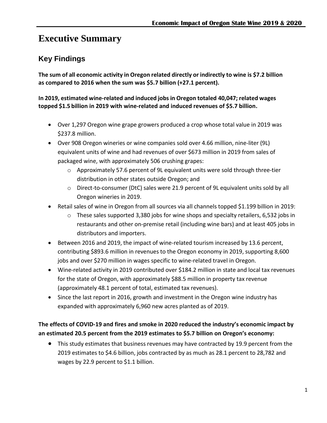# <span id="page-1-0"></span>**Executive Summary**

### <span id="page-1-1"></span>**Key Findings**

**The sum of all economic activity in Oregon related directly or indirectly to wine is \$7.2 billion as compared to 2016 when the sum was \$5.7 billion (+27.1 percent).** 

**In 2019, estimated wine-related and induced jobs in Oregon totaled 40,047; related wages topped \$1.5 billion in 2019 with wine-related and induced revenues of \$5.7 billion.**

- Over 1,297 Oregon wine grape growers produced a crop whose total value in 2019 was \$237.8 million.
- Over 908 Oregon wineries or wine companies sold over 4.66 million, nine-liter (9L) equivalent units of wine and had revenues of over \$673 million in 2019 from sales of packaged wine, with approximately 506 crushing grapes:
	- o Approximately 57.6 percent of 9L equivalent units were sold through three-tier distribution in other states outside Oregon; and
	- o Direct-to-consumer (DtC) sales were 21.9 percent of 9L equivalent units sold by all Oregon wineries in 2019.
- Retail sales of wine in Oregon from all sources via all channels topped \$1.199 billion in 2019:
	- $\circ$  These sales supported 3,380 jobs for wine shops and specialty retailers, 6,532 jobs in restaurants and other on-premise retail (including wine bars) and at least 405 jobs in distributors and importers.
- Between 2016 and 2019, the impact of wine-related tourism increased by 13.6 percent, contributing \$893.6 million in revenues to the Oregon economy in 2019, supporting 8,600 jobs and over \$270 million in wages specific to wine-related travel in Oregon.
- Wine-related activity in 2019 contributed over \$184.2 million in state and local tax revenues for the state of Oregon, with approximately \$88.5 million in property tax revenue (approximately 48.1 percent of total, estimated tax revenues).
- Since the last report in 2016, growth and investment in the Oregon wine industry has expanded with approximately 6,960 new acres planted as of 2019.

#### **The effects of COVID-19 and fires and smoke in 2020 reduced the industry's economic impact by an estimated 20.5 percent from the 2019 estimates to \$5.7 billion on Oregon's economy:**

• This study estimates that business revenues may have contracted by 19.9 percent from the 2019 estimates to \$4.6 billion, jobs contracted by as much as 28.1 percent to 28,782 and wages by 22.9 percent to \$1.1 billion.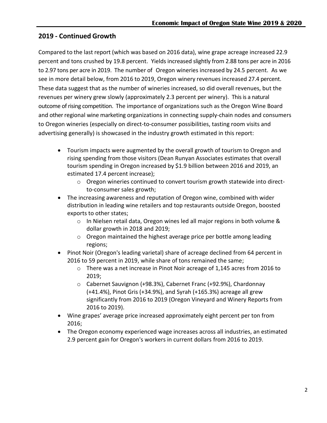#### <span id="page-2-0"></span>**2019 - Continued Growth**

Compared to the last report (which was based on 2016 data), wine grape acreage increased 22.9 percent and tons crushed by 19.8 percent. Yields increased slightly from 2.88 tons per acre in 2016 to 2.97 tons per acre in 2019. The number of Oregon wineries increased by 24.5 percent. As we see in more detail below, from 2016 to 2019, Oregon winery revenues increased 27.4 percent. These data suggest that as the number of wineries increased, so did overall revenues, but the revenues per winery grew slowly (approximately 2.3 percent per winery). This is a natural outcome of rising competition. The importance of organizations such as the Oregon Wine Board and other regional wine marketing organizations in connecting supply-chain nodes and consumers to Oregon wineries (especially on direct-to-consumer possibilities, tasting room visits and advertising generally) is showcased in the industry growth estimated in this report:

- Tourism impacts were augmented by the overall growth of tourism to Oregon and rising spending from those visitors (Dean Runyan Associates estimates that overall tourism spending in Oregon increased by \$1.9 billion between 2016 and 2019, an estimated 17.4 percent increase);
	- o Oregon wineries continued to convert tourism growth statewide into directto-consumer sales growth;
- The increasing awareness and reputation of Oregon wine, combined with wider distribution in leading wine retailers and top restaurants outside Oregon, boosted exports to other states;
	- $\circ$  In Nielsen retail data, Oregon wines led all major regions in both volume & dollar growth in 2018 and 2019;
	- o Oregon maintained the highest average price per bottle among leading regions;
- Pinot Noir (Oregon's leading varietal) share of acreage declined from 64 percent in 2016 to 59 percent in 2019, while share of tons remained the same;
	- $\circ$  There was a net increase in Pinot Noir acreage of 1,145 acres from 2016 to 2019;
	- o Cabernet Sauvignon (+98.3%), Cabernet Franc (+92.9%), Chardonnay (+41.4%), Pinot Gris (+34.9%), and Syrah (+165.3%) acreage all grew significantly from 2016 to 2019 (Oregon Vineyard and Winery Reports from 2016 to 2019).
- Wine grapes' average price increased approximately eight percent per ton from 2016;
- The Oregon economy experienced wage increases across all industries, an estimated 2.9 percent gain for Oregon's workers in current dollars from 2016 to 2019.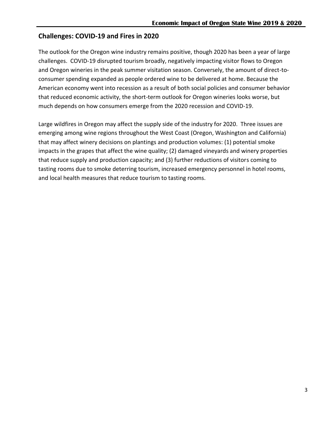#### <span id="page-3-0"></span>**Challenges: COVID-19 and Fires in 2020**

The outlook for the Oregon wine industry remains positive, though 2020 has been a year of large challenges. COVID-19 disrupted tourism broadly, negatively impacting visitor flows to Oregon and Oregon wineries in the peak summer visitation season. Conversely, the amount of direct-toconsumer spending expanded as people ordered wine to be delivered at home. Because the American economy went into recession as a result of both social policies and consumer behavior that reduced economic activity, the short-term outlook for Oregon wineries looks worse, but much depends on how consumers emerge from the 2020 recession and COVID-19.

Large wildfires in Oregon may affect the supply side of the industry for 2020. Three issues are emerging among wine regions throughout the West Coast (Oregon, Washington and California) that may affect winery decisions on plantings and production volumes: (1) potential smoke impacts in the grapes that affect the wine quality; (2) damaged vineyards and winery properties that reduce supply and production capacity; and (3) further reductions of visitors coming to tasting rooms due to smoke deterring tourism, increased emergency personnel in hotel rooms, and local health measures that reduce tourism to tasting rooms.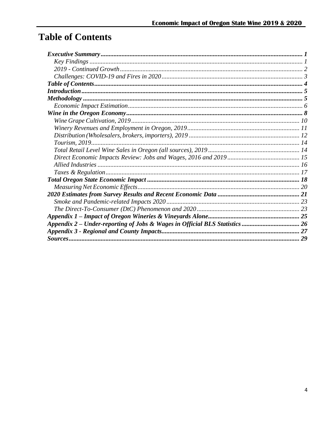# <span id="page-4-0"></span>**Table of Contents**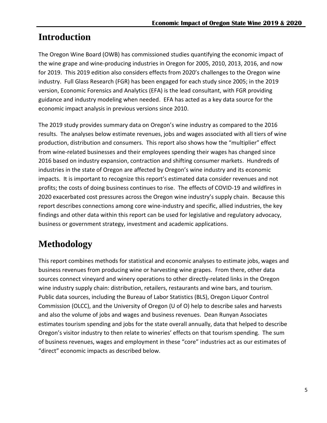# <span id="page-5-0"></span>**Introduction**

The Oregon Wine Board (OWB) has commissioned studies quantifying the economic impact of the wine grape and wine-producing industries in Oregon for 2005, 2010, 2013, 2016, and now for 2019. This 2019 edition also considers effects from 2020's challenges to the Oregon wine industry. Full Glass Research (FGR) has been engaged for each study since 2005; in the 2019 version, Economic Forensics and Analytics (EFA) is the lead consultant, with FGR providing guidance and industry modeling when needed. EFA has acted as a key data source for the economic impact analysis in previous versions since 2010.

The 2019 study provides summary data on Oregon's wine industry as compared to the 2016 results. The analyses below estimate revenues, jobs and wages associated with all tiers of wine production, distribution and consumers. This report also shows how the "multiplier" effect from wine-related businesses and their employees spending their wages has changed since 2016 based on industry expansion, contraction and shifting consumer markets. Hundreds of industries in the state of Oregon are affected by Oregon's wine industry and its economic impacts. It is important to recognize this report's estimated data consider revenues and not profits; the costs of doing business continues to rise. The effects of COVID-19 and wildfires in 2020 exacerbated cost pressures across the Oregon wine industry's supply chain. Because this report describes connections among core wine-industry and specific, allied industries, the key findings and other data within this report can be used for legislative and regulatory advocacy, business or government strategy, investment and academic applications.

# <span id="page-5-1"></span>**Methodology**

This report combines methods for statistical and economic analyses to estimate jobs, wages and business revenues from producing wine or harvesting wine grapes. From there, other data sources connect vineyard and winery operations to other directly-related links in the Oregon wine industry supply chain: distribution, retailers, restaurants and wine bars, and tourism. Public data sources, including the Bureau of Labor Statistics (BLS), Oregon Liquor Control Commission (OLCC), and the University of Oregon (U of O) help to describe sales and harvests and also the volume of jobs and wages and business revenues. Dean Runyan Associates estimates tourism spending and jobs for the state overall annually, data that helped to describe Oregon's visitor industry to then relate to wineries' effects on that tourism spending. The sum of business revenues, wages and employment in these "core" industries act as our estimates of "direct" economic impacts as described below.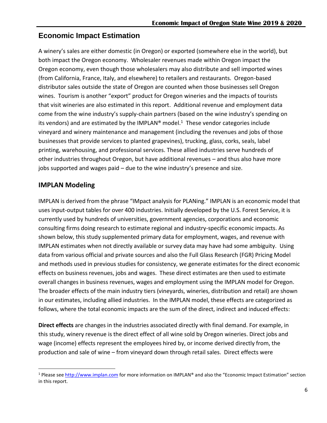#### <span id="page-6-0"></span>**Economic Impact Estimation**

A winery's sales are either domestic (in Oregon) or exported (somewhere else in the world), but both impact the Oregon economy. Wholesaler revenues made within Oregon impact the Oregon economy, even though those wholesalers may also distribute and sell imported wines (from California, France, Italy, and elsewhere) to retailers and restaurants. Oregon-based distributor sales outside the state of Oregon are counted when those businesses sell Oregon wines. Tourism is another "export" product for Oregon wineries and the impacts of tourists that visit wineries are also estimated in this report. Additional revenue and employment data come from the wine industry's supply-chain partners (based on the wine industry's spending on its vendors) and are estimated by the IMPLAN® model.<sup>1</sup> These vendor categories include vineyard and winery maintenance and management (including the revenues and jobs of those businesses that provide services to planted grapevines), trucking, glass, corks, seals, label printing, warehousing, and professional services. These allied industries serve hundreds of other industries throughout Oregon, but have additional revenues – and thus also have more jobs supported and wages paid – due to the wine industry's presence and size.

#### **IMPLAN Modeling**

 $\overline{\phantom{a}}$ 

IMPLAN is derived from the phrase "IMpact analysis for PLANing." IMPLAN is an economic model that uses input-output tables for over 400 industries. Initially developed by the U.S. Forest Service, it is currently used by hundreds of universities, government agencies, corporations and economic consulting firms doing research to estimate regional and industry-specific economic impacts. As shown below, this study supplemented primary data for employment, wages, and revenue with IMPLAN estimates when not directly available or survey data may have had some ambiguity. Using data from various official and private sources and also the Full Glass Research (FGR) Pricing Model and methods used in previous studies for consistency, we generate estimates for the direct economic effects on business revenues, jobs and wages. These direct estimates are then used to estimate overall changes in business revenues, wages and employment using the IMPLAN model for Oregon. The broader effects of the main industry tiers (vineyards, wineries, distribution and retail) are shown in our estimates, including allied industries. In the IMPLAN model, these effects are categorized as follows, where the total economic impacts are the sum of the direct, indirect and induced effects:

**Direct effects** are changes in the industries associated directly with final demand. For example, in this study, winery revenue is the direct effect of all wine sold by Oregon wineries. Direct jobs and wage (income) effects represent the employees hired by, or income derived directly from, the production and sale of wine – from vineyard down through retail sales. Direct effects were

<sup>&</sup>lt;sup>1</sup> Please see [http://www.implan.com](http://www.implan.com/) for more information on IMPLAN® and also the "Economic Impact Estimation" section in this report.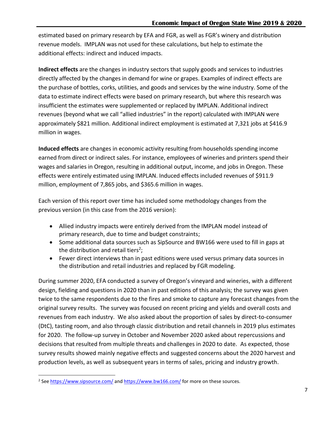estimated based on primary research by EFA and FGR, as well as FGR's winery and distribution revenue models. IMPLAN was not used for these calculations, but help to estimate the additional effects: indirect and induced impacts.

**Indirect effects** are the changes in industry sectors that supply goods and services to industries directly affected by the changes in demand for wine or grapes. Examples of indirect effects are the purchase of bottles, corks, utilities, and goods and services by the wine industry. Some of the data to estimate indirect effects were based on primary research, but where this research was insufficient the estimates were supplemented or replaced by IMPLAN. Additional indirect revenues (beyond what we call "allied industries" in the report) calculated with IMPLAN were approximately \$821 million. Additional indirect employment is estimated at 7,321 jobs at \$416.9 million in wages.

**Induced effects** are changes in economic activity resulting from households spending income earned from direct or indirect sales. For instance, employees of wineries and printers spend their wages and salaries in Oregon, resulting in additional output, income, and jobs in Oregon. These effects were entirely estimated using IMPLAN. Induced effects included revenues of \$911.9 million, employment of 7,865 jobs, and \$365.6 million in wages.

Each version of this report over time has included some methodology changes from the previous version (in this case from the 2016 version):

- Allied industry impacts were entirely derived from the IMPLAN model instead of primary research, due to time and budget constraints;
- Some additional data sources such as SipSource and BW166 were used to fill in gaps at the distribution and retail tiers<sup>2</sup>;
- Fewer direct interviews than in past editions were used versus primary data sources in the distribution and retail industries and replaced by FGR modeling.

During summer 2020, EFA conducted a survey of Oregon's vineyard and wineries, with a different design, fielding and questions in 2020 than in past editions of this analysis; the survey was given twice to the same respondents due to the fires and smoke to capture any forecast changes from the original survey results. The survey was focused on recent pricing and yields and overall costs and revenues from each industry. We also asked about the proportion of sales by direct-to-consumer (DtC), tasting room, and also through classic distribution and retail channels in 2019 plus estimates for 2020. The follow-up survey in October and November 2020 asked about repercussions and decisions that resulted from multiple threats and challenges in 2020 to date. As expected, those survey results showed mainly negative effects and suggested concerns about the 2020 harvest and production levels, as well as subsequent years in terms of sales, pricing and industry growth.

 $\overline{\phantom{a}}$ 

<sup>&</sup>lt;sup>2</sup> See<https://www.sipsource.com/> and<https://www.bw166.com/> for more on these sources.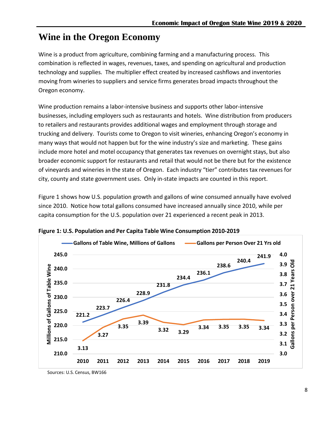# <span id="page-8-0"></span>**Wine in the Oregon Economy**

Wine is a product from agriculture, combining farming and a manufacturing process. This combination is reflected in wages, revenues, taxes, and spending on agricultural and production technology and supplies. The multiplier effect created by increased cashflows and inventories moving from wineries to suppliers and service firms generates broad impacts throughout the Oregon economy.

Wine production remains a labor-intensive business and supports other labor-intensive businesses, including employers such as restaurants and hotels. Wine distribution from producers to retailers and restaurants provides additional wages and employment through storage and trucking and delivery. Tourists come to Oregon to visit wineries, enhancing Oregon's economy in many ways that would not happen but for the wine industry's size and marketing. These gains include more hotel and motel occupancy that generates tax revenues on overnight stays, but also broader economic support for restaurants and retail that would not be there but for the existence of vineyards and wineries in the state of Oregon. Each industry "tier" contributes tax revenues for city, county and state government uses. Only in-state impacts are counted in this report.

Figure 1 shows how U.S. population growth and gallons of wine consumed annually have evolved since 2010. Notice how total gallons consumed have increased annually since 2010, while per capita consumption for the U.S. population over 21 experienced a recent peak in 2013.



**Figure 1: U.S. Population and Per Capita Table Wine Consumption 2010-2019**

Sources: U.S. Census, BW166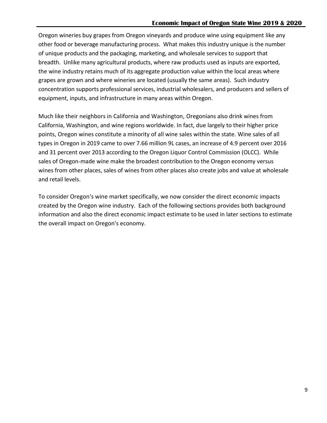Oregon wineries buy grapes from Oregon vineyards and produce wine using equipment like any other food or beverage manufacturing process. What makes this industry unique is the number of unique products and the packaging, marketing, and wholesale services to support that breadth. Unlike many agricultural products, where raw products used as inputs are exported, the wine industry retains much of its aggregate production value within the local areas where grapes are grown and where wineries are located (usually the same areas). Such industry concentration supports professional services, industrial wholesalers, and producers and sellers of equipment, inputs, and infrastructure in many areas within Oregon.

Much like their neighbors in California and Washington, Oregonians also drink wines from California, Washington, and wine regions worldwide. In fact, due largely to their higher price points, Oregon wines constitute a minority of all wine sales within the state. Wine sales of all types in Oregon in 2019 came to over 7.66 million 9L cases, an increase of 4.9 percent over 2016 and 31 percent over 2013 according to the Oregon Liquor Control Commission (OLCC). While sales of Oregon-made wine make the broadest contribution to the Oregon economy versus wines from other places, sales of wines from other places also create jobs and value at wholesale and retail levels.

To consider Oregon's wine market specifically, we now consider the direct economic impacts created by the Oregon wine industry. Each of the following sections provides both background information and also the direct economic impact estimate to be used in later sections to estimate the overall impact on Oregon's economy.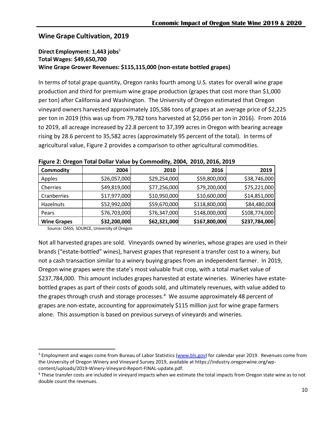#### <span id="page-10-0"></span>**Wine Grape Cultivation, 2019**

#### **Direct Employment: 1,443 jobs**<sup>3</sup> **Total Wages: \$49,650,700 Wine Grape Grower Revenues: \$115,115,000 (non-estate bottled grapes)**

In terms of total grape quantity, Oregon ranks fourth among U.S. states for overall wine grape production and third for premium wine grape production (grapes that cost more than \$1,000 per ton) after California and Washington. The University of Oregon estimated that Oregon vineyard owners harvested approximately 105,586 tons of grapes at an average price of \$2,225 per ton in 2019 (this was up from 79,782 tons harvested at \$2,056 per ton in 2016). From 2016 to 2019, all acreage increased by 22.8 percent to 37,399 acres in Oregon with bearing acreage rising by 28.6 percent to 35,582 acres (approximately 95 percent of the total). In terms of agricultural value, Figure 2 provides a comparison to other agricultural commodities.

| <b>Commodity</b>   | 2004         | 2010         | 2016          | 2019          |
|--------------------|--------------|--------------|---------------|---------------|
| Apples             | \$26,057,000 | \$29,254,000 | \$59,800,000  | \$38,746,000  |
| Cherries           | \$49,819,000 | \$77,256,000 | \$79,200,000  | \$75,221,000  |
| Cranberries        | \$17,977,000 | \$10,950,000 | \$10,600,000  | \$14,851,000  |
| <b>Hazelnuts</b>   | \$52,992,000 | \$59,670,000 | \$118,800,000 | \$84,480,000  |
| Pears              | \$76,703,000 | \$76,347,000 | \$148,000,000 | \$108,774,000 |
| <b>Wine Grapes</b> | \$32,200,000 | \$62,321,000 | \$167,800,000 | \$237,784,000 |

|  | Figure 2: Oregon Total Dollar Value by Commodity, 2004, 2010, 2016, 2019 |  |  |
|--|--------------------------------------------------------------------------|--|--|
|--|--------------------------------------------------------------------------|--|--|

Source: OASS, SOURCE, University of Oregon

 $\overline{\phantom{a}}$ 

Not all harvested grapes are sold. Vineyards owned by wineries, whose grapes are used in their brands ("estate-bottled" wines), harvest grapes that represent a transfer cost to a winery, but not a cash transaction similar to a winery buying grapes from an independent farmer. In 2019, Oregon wine grapes were the state's most valuable fruit crop, with a total market value of \$237,784,000. This amount includes grapes harvested at estate wineries. Wineries have estatebottled grapes as part of their costs of goods sold, and ultimately revenues, with value added to the grapes through crush and storage processes.<sup>4</sup> We assume approximately 48 percent of grapes are non-estate, accounting for approximately \$115 million just for wine grape farmers alone. This assumption is based on previous surveys of vineyards and wineries.

<sup>&</sup>lt;sup>3</sup> Employment and wages come from Bureau of Labor Statistics [\(www.bls.gov\)](http://www.bls.gov/) for calendar year 2019. Revenues come from the University of Oregon Winery and Vineyard Survey 2019, available at https://industry.oregonwine.org/wpcontent/uploads/2019-Winery-Vineyard-Report-FINAL-update.pdf.

<sup>&</sup>lt;sup>4</sup> These transfer costs are included in vineyard impacts when we estimate the total impacts from Oregon state wine as to not double count the revenues.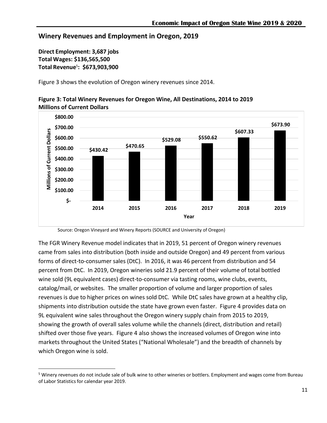#### <span id="page-11-0"></span>**Winery Revenues and Employment in Oregon, 2019**

**Direct Employment: 3,687 jobs Total Wages: \$136,565,500 Total Revenue**<sup>5</sup> **: \$673,903,900**

 $\overline{\phantom{a}}$ 

Figure 3 shows the evolution of Oregon winery revenues since 2014.



**Figure 3: Total Winery Revenues for Oregon Wine, All Destinations, 2014 to 2019 Millions of Current Dollars**

Source: Oregon Vineyard and Winery Reports (SOURCE and University of Oregon)

The FGR Winery Revenue model indicates that in 2019, 51 percent of Oregon winery revenues came from sales into distribution (both inside and outside Oregon) and 49 percent from various forms of direct-to-consumer sales (DtC). In 2016, it was 46 percent from distribution and 54 percent from DtC. In 2019, Oregon wineries sold 21.9 percent of their volume of total bottled wine sold (9L equivalent cases) direct-to-consumer via tasting rooms, wine clubs, events, catalog/mail, or websites. The smaller proportion of volume and larger proportion of sales revenues is due to higher prices on wines sold DtC. While DtC sales have grown at a healthy clip, shipments into distribution outside the state have grown even faster. Figure 4 provides data on 9L equivalent wine sales throughout the Oregon winery supply chain from 2015 to 2019, showing the growth of overall sales volume while the channels (direct, distribution and retail) shifted over those five years. Figure 4 also shows the increased volumes of Oregon wine into markets throughout the United States ("National Wholesale") and the breadth of channels by which Oregon wine is sold.

<sup>&</sup>lt;sup>5</sup> Winery revenues do not include sale of bulk wine to other wineries or bottlers. Employment and wages come from Bureau of Labor Statistics for calendar year 2019.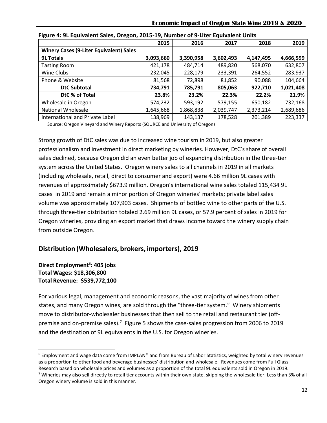|                                                | 2015      | 2016      | 2017      | 2018      | 2019      |
|------------------------------------------------|-----------|-----------|-----------|-----------|-----------|
| <b>Winery Cases (9-Liter Equivalent) Sales</b> |           |           |           |           |           |
| <b>9L Totals</b>                               | 3,093,660 | 3,390,958 | 3,602,493 | 4,147,495 | 4,666,599 |
| <b>Tasting Room</b>                            | 421,178   | 484,714   | 489,820   | 568,070   | 632,807   |
| Wine Clubs                                     | 232,045   | 228,179   | 233,391   | 264,552   | 283,937   |
| Phone & Website                                | 81,568    | 72,898    | 81,852    | 90,088    | 104,664   |
| <b>DtC Subtotal</b>                            | 734,791   | 785,791   | 805,063   | 922,710   | 1,021,408 |
| DtC % of Total                                 | 23.8%     | 23.2%     | 22.3%     | 22.2%     | 21.9%     |
| Wholesale in Oregon                            | 574,232   | 593,192   | 579,155   | 650,182   | 732,168   |
| <b>National Wholesale</b>                      | 1,645,668 | 1,868,838 | 2,039,747 | 2,373,214 | 2,689,686 |
| International and Private Label                | 138,969   | 143,137   | 178,528   | 201,389   | 223,337   |

Source: Oregon Vineyard and Winery Reports (SOURCE and University of Oregon)

Strong growth of DtC sales was due to increased wine tourism in 2019, but also greater professionalism and investment in direct marketing by wineries. However, DtC's share of overall sales declined, because Oregon did an even better job of expanding distribution in the three-tier system across the United States. Oregon winery sales to all channels in 2019 in all markets (including wholesale, retail, direct to consumer and export) were 4.66 million 9L cases with revenues of approximately \$673.9 million. Oregon's international wine sales totaled 115,434 9L cases in 2019 and remain a minor portion of Oregon wineries' markets; private label sales volume was approximately 107,903 cases. Shipments of bottled wine to other parts of the U.S. through three-tier distribution totaled 2.69 million 9L cases, or 57.9 percent of sales in 2019 for Oregon wineries, providing an export market that draws income toward the winery supply chain from outside Oregon.

#### <span id="page-12-0"></span>**Distribution (Wholesalers, brokers, importers), 2019**

#### **Direct Employment**<sup>6</sup> **: 405 jobs Total Wages: \$18,306,800 Total Revenue: \$539,772,100**

For various legal, management and economic reasons, the vast majority of wines from other states, and many Oregon wines, are sold through the "three-tier system." Winery shipments move to distributor-wholesaler businesses that then sell to the retail and restaurant tier (offpremise and on-premise sales).<sup>7</sup> Figure 5 shows the case-sales progression from 2006 to 2019 and the destination of 9L equivalents in the U.S. for Oregon wineries.

 $\overline{\phantom{a}}$ 

 $6$  Employment and wage data come from IMPLAN® and from Bureau of Labor Statistics, weighted by total winery revenues as a proportion to other food and beverage businesses' distribution and wholesale. Revenues come from Full Glass Research based on wholesale prices and volumes as a proportion of the total 9L equivalents sold in Oregon in 2019. <sup>7</sup> Wineries may also sell directly to retail tier accounts within their own state, skipping the wholesale tier. Less than 3% of all

Oregon winery volume is sold in this manner.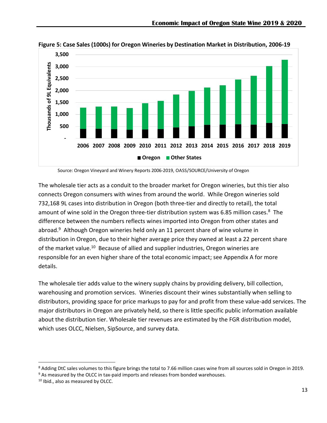

**Figure 5: Case Sales (1000s) for Oregon Wineries by Destination Market in Distribution, 2006-19**

Source: Oregon Vineyard and Winery Reports 2006-2019, OASS/SOURCE/University of Oregon

The wholesale tier acts as a conduit to the broader market for Oregon wineries, but this tier also connects Oregon consumers with wines from around the world. While Oregon wineries sold 732,168 9L cases into distribution in Oregon (both three-tier and directly to retail), the total amount of wine sold in the Oregon three-tier distribution system was 6.85 million cases.<sup>8</sup> The difference between the numbers reflects wines imported into Oregon from other states and abroad.<sup>9</sup> Although Oregon wineries held only an 11 percent share of wine volume in distribution in Oregon, due to their higher average price they owned at least a 22 percent share of the market value.<sup>10</sup> Because of allied and supplier industries, Oregon wineries are responsible for an even higher share of the total economic impact; see Appendix A for more details.

The wholesale tier adds value to the winery supply chains by providing delivery, bill collection, warehousing and promotion services. Wineries discount their wines substantially when selling to distributors, providing space for price markups to pay for and profit from these value-add services. The major distributors in Oregon are privately held, so there is little specific public information available about the distribution tier. Wholesale tier revenues are estimated by the FGR distribution model, which uses OLCC, Nielsen, SipSource, and survey data.

 $\overline{a}$ 

<sup>&</sup>lt;sup>8</sup> Adding DtC sales volumes to this figure brings the total to 7.66 million cases wine from all sources sold in Oregon in 2019.

<sup>9</sup> As measured by the OLCC in tax-paid imports and releases from bonded warehouses.

<sup>&</sup>lt;sup>10</sup> Ibid., also as measured by OLCC.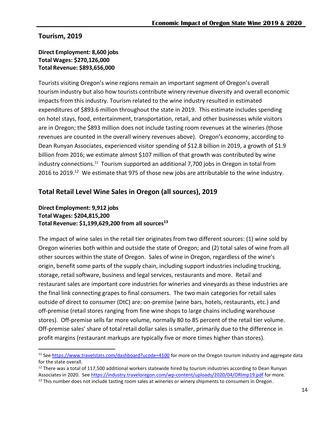#### <span id="page-14-0"></span>**Tourism, 2019**

 $\overline{\phantom{a}}$ 

#### **Direct Employment: 8,600 jobs Total Wages: \$270,126,000 Total Revenue: \$893,656,000**

Tourists visiting Oregon's wine regions remain an important segment of Oregon's overall tourism industry but also how tourists contribute winery revenue diversity and overall economic impacts from this industry. Tourism related to the wine industry resulted in estimated expenditures of \$893.6 million throughout the state in 2019. This estimate includes spending on hotel stays, food, entertainment, transportation, retail, and other businesses while visitors are in Oregon; the \$893 million does not include tasting room revenues at the wineries (those revenues are counted in the overall winery revenues above). Oregon's economy, according to Dean Runyan Associates, experienced visitor spending of \$12.8 billion in 2019, a growth of \$1.9 billion from 2016; we estimate almost \$107 million of that growth was contributed by wine industry connections.<sup>11</sup> Tourism supported an additional 7,700 jobs in Oregon in total from 2016 to 2019.<sup>12</sup> We estimate that 975 of those new jobs are attributable to the wine industry.

#### <span id="page-14-1"></span>**Total Retail Level Wine Sales in Oregon (all sources), 2019**

#### **Direct Employment: 9,912 jobs Total Wages: \$204,815,200 Total Revenue: \$1,199,629,200 from all sources<sup>13</sup>**

The impact of wine sales in the retail tier originates from two different sources: (1) wine sold by Oregon wineries both within and outside the state of Oregon; and (2) total sales of wine from all other sources within the state of Oregon. Sales of wine in Oregon, regardless of the wine's origin, benefit some parts of the supply chain, including support industries including trucking, storage, retail software, business and legal services, restaurants and more. Retail and restaurant sales are important core industries for wineries and vineyards as these industries are the final link connecting grapes to final consumers. The two main categories for retail sales outside of direct to consumer (DtC) are: on-premise (wine bars, hotels, restaurants, etc.) and off-premise (retail stores ranging from fine wine shops to large chains including warehouse stores). Off-premise sells far more volume, normally 80 to 85 percent of the retail tier volume. Off-premise sales' share of total retail dollar sales is smaller, primarily due to the difference in profit margins (restaurant markups are typically five or more times higher than stores).

<sup>11</sup> Se[e https://www.travelstats.com/dashboard?ucode=4100](https://www.travelstats.com/dashboard?ucode=4100) for more on the Oregon tourism industry and aggregate data for the state overall.

 $12$  There was a total of 117,500 additional workers statewide hired by tourism industries according to Dean Runyan Associates in 2020. Se[e https://industry.traveloregon.com/wp-content/uploads/2020/04/ORImp19.pdf](https://industry.traveloregon.com/wp-content/uploads/2020/04/ORImp19.pdf) for more.

<sup>&</sup>lt;sup>13</sup> This number does not include tasting room sales at wineries or winery shipments to consumers in Oregon.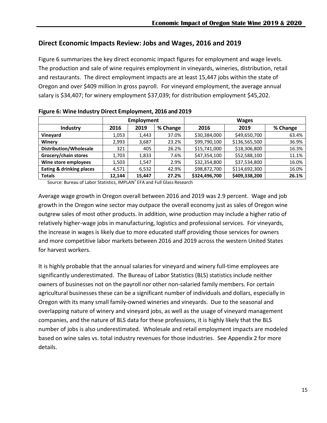#### <span id="page-15-0"></span>**Direct Economic Impacts Review: Jobs and Wages, 2016 and 2019**

Figure 6 summarizes the key direct economic impact figures for employment and wage levels. The production and sale of wine requires employment in vineyards, wineries, distribution, retail and restaurants. The direct employment impacts are at least 15,447 jobs within the state of Oregon and over \$409 million in gross payroll. For vineyard employment, the average annual salary is \$34,407; for winery employment \$37,039; for distribution employment \$45,202.

|                               | <b>Employment</b> |        |          |               |               |          |  |
|-------------------------------|-------------------|--------|----------|---------------|---------------|----------|--|
| Industry                      | 2016              | 2019   | % Change | 2016          | 2019          | % Change |  |
| Vineyard                      | 1,053             | 1,443  | 37.0%    | \$30,384,000  | \$49,650,700  | 63.4%    |  |
| Winery                        | 2.993             | 3,687  | 23.2%    | \$99,790,100  | \$136,565,500 | 36.9%    |  |
| <b>Distribution/Wholesale</b> | 321               | 405    | 26.2%    | \$15,741,000  | \$18,306,800  | 16.3%    |  |
| Grocery/chain stores          | 1,703             | 1,833  | 7.6%     | \$47,354,100  | \$52,588,100  | 11.1%    |  |
| Wine store employees          | 1,503             | 1,547  | 2.9%     | \$32,354,800  | \$37,534,800  | 16.0%    |  |
| Eating & drinking places      | 4,571             | 6,532  | 42.9%    | \$98,872,700  | \$114,692,300 | 16.0%    |  |
| <b>Totals</b>                 | 12.144            | 15,447 | 27.2%    | \$324,496,700 | \$409,338,200 | 26.1%    |  |

**Figure 6: Wine Industry Direct Employment, 2016 and 2019**

Source: Bureau of Labor Statistics, IMPLAN® EFA and Full Glass Research

Average wage growth in Oregon overall between 2016 and 2019 was 2.9 percent. Wage and job growth in the Oregon wine sector may outpace the overall economy just as sales of Oregon wine outgrew sales of most other products. In addition, wine production may include a higher ratio of relatively higher-wage jobs in manufacturing, logistics and professional services. For vineyards, the increase in wages is likely due to more educated staff providing those services for owners and more competitive labor markets between 2016 and 2019 across the western United States for harvest workers.

It is highly probable that the annual salaries for vineyard and winery full-time employees are significantly underestimated. The Bureau of Labor Statistics (BLS) statistics include neither owners of businesses not on the payroll nor other non-salaried family members. For certain agricultural businesses these can be a significant number of individuals and dollars, especially in Oregon with its many small family-owned wineries and vineyards. Due to the seasonal and overlapping nature of winery and vineyard jobs, as well as the usage of vineyard management companies, and the nature of BLS data for these professions, it is highly likely that the BLS number of jobs is also underestimated. Wholesale and retail employment impacts are modeled based on wine sales vs. total industry revenues for those industries. See Appendix 2 for more details.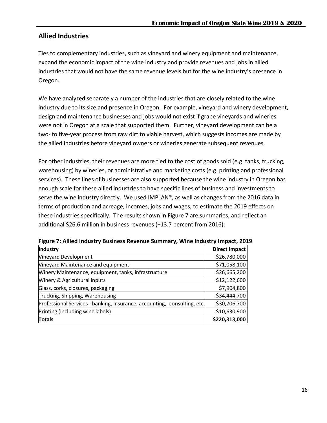#### <span id="page-16-0"></span>**Allied Industries**

Ties to complementary industries, such as vineyard and winery equipment and maintenance, expand the economic impact of the wine industry and provide revenues and jobs in allied industries that would not have the same revenue levels but for the wine industry's presence in Oregon.

We have analyzed separately a number of the industries that are closely related to the wine industry due to its size and presence in Oregon. For example, vineyard and winery development, design and maintenance businesses and jobs would not exist if grape vineyards and wineries were not in Oregon at a scale that supported them. Further, vineyard development can be a two- to five-year process from raw dirt to viable harvest, which suggests incomes are made by the allied industries before vineyard owners or wineries generate subsequent revenues.

For other industries, their revenues are more tied to the cost of goods sold (e.g. tanks, trucking, warehousing) by wineries, or administrative and marketing costs (e.g. printing and professional services). These lines of businesses are also supported because the wine industry in Oregon has enough scale for these allied industries to have specific lines of business and investments to serve the wine industry directly. We used IMPLAN®, as well as changes from the 2016 data in terms of production and acreage, incomes, jobs and wages, to estimate the 2019 effects on these industries specifically. The results shown in Figure 7 are summaries, and reflect an additional \$26.6 million in business revenues (+13.7 percent from 2016):

| Industry                                                                 | <b>Direct Impact</b> |
|--------------------------------------------------------------------------|----------------------|
| Vineyard Development                                                     | \$26,780,000         |
| Vineyard Maintenance and equipment                                       | \$71,058,100         |
| Winery Maintenance, equipment, tanks, infrastructure                     | \$26,665,200         |
| Winery & Agricultural inputs                                             | \$12,122,600         |
| Glass, corks, closures, packaging                                        | \$7,904,800          |
| Trucking, Shipping, Warehousing                                          | \$34,444,700         |
| Professional Services - banking, insurance, accounting, consulting, etc. | \$30,706,700         |
| Printing (including wine labels)                                         | \$10,630,900         |
| <b>Totals</b>                                                            | \$220,313,000        |

**Figure 7: Allied Industry Business Revenue Summary, Wine Industry Impact, 2019**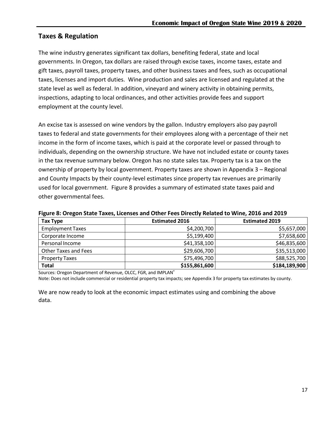#### <span id="page-17-0"></span>**Taxes & Regulation**

The wine industry generates significant tax dollars, benefiting federal, state and local governments. In Oregon, tax dollars are raised through excise taxes, income taxes, estate and gift taxes, payroll taxes, property taxes, and other business taxes and fees, such as occupational taxes, licenses and import duties. Wine production and sales are licensed and regulated at the state level as well as federal. In addition, vineyard and winery activity in obtaining permits, inspections, adapting to local ordinances, and other activities provide fees and support employment at the county level.

An excise tax is assessed on wine vendors by the gallon. Industry employers also pay payroll taxes to federal and state governments for their employees along with a percentage of their net income in the form of income taxes, which is paid at the corporate level or passed through to individuals, depending on the ownership structure. We have not included estate or county taxes in the tax revenue summary below. Oregon has no state sales tax. Property tax is a tax on the ownership of property by local government. Property taxes are shown in Appendix 3 – Regional and County Impacts by their county-level estimates since property tax revenues are primarily used for local government. Figure 8 provides a summary of estimated state taxes paid and other governmental fees.

| <b>Tax Type</b>             | <b>Estimated 2016</b> | <b>Estimated 2019</b> |
|-----------------------------|-----------------------|-----------------------|
| <b>Employment Taxes</b>     | \$4,200,700           | \$5,657,000           |
| Corporate Income            | \$5,199,400           | \$7,658,600           |
| Personal Income             | \$41,358,100          | \$46,835,600          |
| <b>Other Taxes and Fees</b> | \$29,606,700          | \$35,513,000          |
| <b>Property Taxes</b>       | \$75,496,700          | \$88,525,700          |
| <b>Total</b>                | \$155,861,600         | \$184,189,900         |

**Figure 8: Oregon State Taxes, Licenses and Other Fees Directly Related to Wine, 2016 and 2019**

Sources: Oregon Department of Revenue, OLCC, FGR, and IMPLAN®

Note: Does not include commercial or residential property tax impacts; see Appendix 3 for property tax estimates by county.

We are now ready to look at the economic impact estimates using and combining the above data.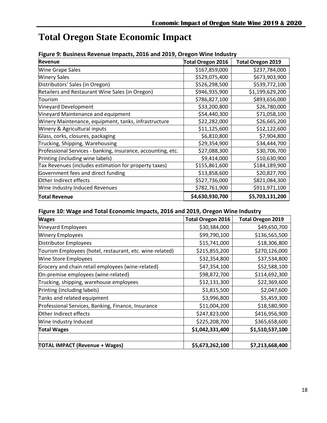# <span id="page-18-0"></span>**Total Oregon State Economic Impact**

|  | Figure 9: Business Revenue Impacts, 2016 and 2019, Oregon Wine Industry |
|--|-------------------------------------------------------------------------|
|--|-------------------------------------------------------------------------|

| <b>Revenue</b>                                               | <b>Total Oregon 2016</b> | <b>Total Oregon 2019</b> |
|--------------------------------------------------------------|--------------------------|--------------------------|
| <b>Wine Grape Sales</b>                                      | \$167,859,000            | \$237,784,000            |
| <b>Winery Sales</b>                                          | \$529,075,400            | \$673,903,900            |
| Distributors' Sales (in Oregon)                              | \$526,298,500            | \$539,772,100            |
| Retailers and Restaurant Wine Sales (in Oregon)              | \$946,935,900            | \$1,199,629,200          |
| Tourism                                                      | \$786,827,100            | \$893,656,000            |
| Vineyard Development                                         | \$33,200,800             | \$26,780,000             |
| Vineyard Maintenance and equipment                           | \$54,440,300             | \$71,058,100             |
| Winery Maintenance, equipment, tanks, infrastructure         | \$22,282,000             | \$26,665,200             |
| Winery & Agricultural inputs                                 | \$11,125,600             | \$12,122,600             |
| Glass, corks, closures, packaging                            | \$6,810,800              | \$7,904,800              |
| Trucking, Shipping, Warehousing                              | \$29,354,900             | \$34,444,700             |
| Professional Services - banking, insurance, accounting, etc. | \$27,088,300             | \$30,706,700             |
| Printing (including wine labels)                             | \$9,414,000              | \$10,630,900             |
| Tax Revenues (includes estimation for property taxes)        | \$155,861,600            | \$184,189,900            |
| Government fees and direct funding                           | \$13,858,600             | \$20,827,700             |
| Other Indirect effects                                       | \$527,736,000            | \$821,084,300            |
| Wine Industry Induced Revenues                               | \$782,761,900            | \$911,971,100            |
| <b>Total Revenue</b>                                         | \$4,630,930,700          | \$5,703,131,200          |

#### **Figure 10: Wage and Total Economic Impacts, 2016 and 2019, Oregon Wine Industry**

| <b>Wages</b>                                             | <b>Total Oregon 2016</b> | <b>Total Oregon 2019</b> |
|----------------------------------------------------------|--------------------------|--------------------------|
| <b>Vineyard Employees</b>                                | \$30,384,000             | \$49,650,700             |
| <b>Winery Employees</b>                                  | \$99,790,100             | \$136,565,500            |
| Distributor Employees                                    | \$15,741,000             | \$18,306,800             |
| Tourism Employees (hotel, restaurant, etc. wine-related) | \$215,855,200            | \$270,126,000            |
| <b>Wine Store Employees</b>                              | \$32,354,800             | \$37,534,800             |
| Grocery and chain retail employees (wine-related)        | \$47,354,100             | \$52,588,100             |
| On-premise employees (wine-related)                      | \$98,872,700             | \$114,692,300            |
| Trucking, shipping, warehouse employees                  | \$12,131,300             | \$22,369,600             |
| Printing (including labels)                              | \$1,815,500              | \$2,047,600              |
| Tanks and related equipment                              | \$3,996,800              | \$5,459,300              |
| Professional Services, Banking, Finance, Insurance       | \$11,004,200             | \$18,580,900             |
| Other Indirect effects                                   | \$247,823,000            | \$416,956,900            |
| Wine Industry Induced                                    | \$225,208,700            | \$365,658,600            |
| <b>Total Wages</b>                                       | \$1,042,331,400          | \$1,510,537,100          |
|                                                          |                          |                          |
| <b>TOTAL IMPACT (Revenue + Wages)</b>                    | \$5,673,262,100          | \$7,213,668,400          |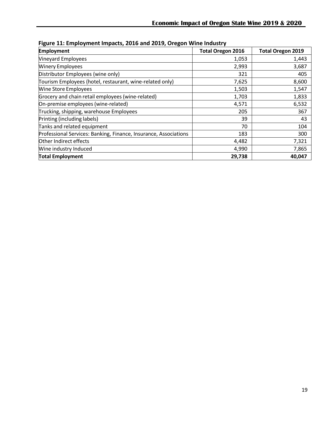| <b>Employment</b>                                                | <b>Total Oregon 2016</b> | <b>Total Oregon 2019</b> |
|------------------------------------------------------------------|--------------------------|--------------------------|
| Vineyard Employees                                               | 1,053                    | 1,443                    |
| <b>Winery Employees</b>                                          | 2,993                    | 3,687                    |
| Distributor Employees (wine only)                                | 321                      | 405                      |
| Tourism Employees (hotel, restaurant, wine-related only)         | 7,625                    | 8,600                    |
| <b>Wine Store Employees</b>                                      | 1,503                    | 1,547                    |
| Grocery and chain retail employees (wine-related)                | 1,703                    | 1,833                    |
| On-premise employees (wine-related)                              | 4,571                    | 6,532                    |
| Trucking, shipping, warehouse Employees                          | 205                      | 367                      |
| Printing (including labels)                                      | 39                       | 43                       |
| Tanks and related equipment                                      | 70                       | 104                      |
| Professional Services: Banking, Finance, Insurance, Associations | 183                      | 300                      |
| Other Indirect effects                                           | 4,482                    | 7,321                    |
| Wine industry Induced                                            | 4,990                    | 7,865                    |
| <b>Total Employment</b>                                          | 29,738                   | 40,047                   |

**Figure 11: Employment Impacts, 2016 and 2019, Oregon Wine Industry**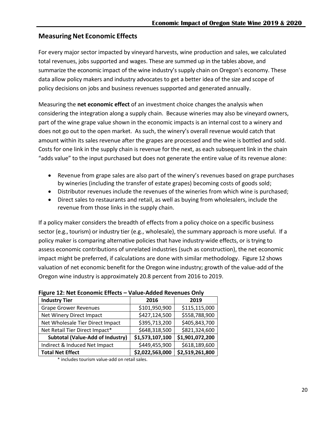#### <span id="page-20-0"></span>**Measuring Net Economic Effects**

For every major sector impacted by vineyard harvests, wine production and sales, we calculated total revenues, jobs supported and wages. These are summed up in the tables above, and summarize the economic impact of the wine industry's supply chain on Oregon's economy. These data allow policy makers and industry advocates to get a better idea of the size and scope of policy decisions on jobs and business revenues supported and generated annually.

Measuring the **net economic effect** of an investment choice changesthe analysis when considering the integration along a supply chain. Because wineries may also be vineyard owners, part of the wine grape value shown in the economic impacts is an internal cost to a winery and does not go out to the open market. As such, the winery's overall revenue would catch that amount within its sales revenue after the grapes are processed and the wine is bottled and sold. Costs for one link in the supply chain is revenue for the next, as each subsequent link in the chain "adds value" to the input purchased but does not generate the entire value of its revenue alone:

- Revenue from grape sales are also part of the winery's revenues based on grape purchases by wineries (including the transfer of estate grapes) becoming costs of goods sold;
- Distributor revenues include the revenues of the wineries from which wine is purchased;
- Direct sales to restaurants and retail, as well as buying from wholesalers, include the revenue from those links in the supply chain.

If a policy maker considers the breadth of effects from a policy choice on a specific business sector (e.g., tourism) or industry tier (e.g., wholesale), the summary approach is more useful. If a policy maker is comparing alternative policies that have industry-wide effects, or is trying to assess economic contributions of unrelated industries (such as construction), the net economic impact might be preferred, if calculations are done with similar methodology. Figure 12 shows valuation of net economic benefit for the Oregon wine industry; growth of the value-add of the Oregon wine industry is approximately 20.8 percent from 2016 to 2019.

| <b>I IGUITE 12. IVEL LUDITUITIU LITEULS</b> | value-Audeu Revellues Olliv |                 |
|---------------------------------------------|-----------------------------|-----------------|
| <b>Industry Tier</b>                        | 2016                        | 2019            |
| <b>Grape Grower Revenues</b>                | \$101,950,900               | \$115,115,000   |
| Net Winery Direct Impact                    | \$427,124,500               | \$558,788,900   |
| Net Wholesale Tier Direct Impact            | \$395,713,200               | \$405,843,700   |
| Net Retail Tier Direct Impact*              | \$648,318,500               | \$821,324,600   |
| <b>Subtotal (Value-Add of Industry)</b>     | \$1,573,107,100             | \$1,901,072,200 |
| Indirect & Induced Net Impact               | \$449,455,900               | \$618,189,600   |
| <b>Total Net Effect</b>                     | \$2,022,563,000             | \$2,519,261,800 |

**Figure 12: Net Economic Effects – Value-Added Revenues Only**

includes tourism value-add on retail sales.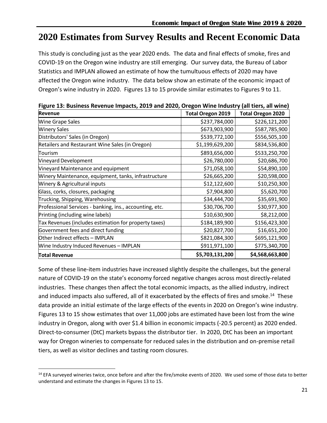# <span id="page-21-0"></span>**2020 Estimates from Survey Results and Recent Economic Data**

This study is concluding just as the year 2020 ends. The data and final effects of smoke, fires and COVID-19 on the Oregon wine industry are still emerging. Our survey data, the Bureau of Labor Statistics and IMPLAN allowed an estimate of how the tumultuous effects of 2020 may have affected the Oregon wine industry. The data below show an estimate of the economic impact of Oregon's wine industry in 2020. Figures 13 to 15 provide similar estimates to Figures 9 to 11.

| i igure 15. Dusiness nevenue impacts, 2015 and 2020, Oregon while muusti y fan tiers, an winej<br><b>Revenue</b> | <b>Total Oregon 2019</b> | <b>Total Oregon 2020</b> |
|------------------------------------------------------------------------------------------------------------------|--------------------------|--------------------------|
| <b>Wine Grape Sales</b>                                                                                          | \$237,784,000            | \$226,121,200            |
| <b>Winery Sales</b>                                                                                              | \$673,903,900            | \$587,785,900            |
| Distributors' Sales (in Oregon)                                                                                  | \$539,772,100            | \$556,505,100            |
| Retailers and Restaurant Wine Sales (in Oregon)                                                                  | \$1,199,629,200          | \$834,536,800            |
| Tourism                                                                                                          | \$893,656,000            | \$533,250,700            |
| Vineyard Development                                                                                             | \$26,780,000             | \$20,686,700             |
| Vineyard Maintenance and equipment                                                                               | \$71,058,100             | \$54,890,100             |
| Winery Maintenance, equipment, tanks, infrastructure                                                             | \$26,665,200             | \$20,598,000             |
| <b>Winery &amp; Agricultural inputs</b>                                                                          | \$12,122,600             | \$10,250,300             |
| Glass, corks, closures, packaging                                                                                | \$7,904,800              | \$5,620,700              |
| Trucking, Shipping, Warehousing                                                                                  | \$34,444,700             | \$35,691,900             |
| Professional Services - banking, ins., accounting, etc.                                                          | \$30,706,700             | \$30,977,300             |
| Printing (including wine labels)                                                                                 | \$10,630,900             | \$8,212,000              |
| Tax Revenues (includes estimation for property taxes)                                                            | \$184,189,900            | \$156,423,300            |
| Government fees and direct funding                                                                               | \$20,827,700             | \$16,651,200             |
| Other Indirect effects - IMPLAN                                                                                  | \$821,084,300            | \$695,121,900            |
| Wine Industry Induced Revenues - IMPLAN                                                                          | \$911,971,100            | \$775,340,700            |
| <b>Total Revenue</b>                                                                                             | \$5,703,131,200          | \$4,568,663,800          |

**Figure 13: Business Revenue Impacts, 2019 and 2020, Oregon Wine Industry (all tiers, all wine)**

Some of these line-item industries have increased slightly despite the challenges, but the general nature of COVID-19 on the state's economy forced negative changes across most directly-related industries. These changes then affect the total economic impacts, as the allied industry, indirect and induced impacts also suffered, all of it exacerbated by the effects of fires and smoke.<sup>14</sup> These data provide an initial estimate of the large effects of the events in 2020 on Oregon's wine industry. Figures 13 to 15 show estimates that over 11,000 jobs are estimated have been lost from the wine industry in Oregon, along with over \$1.4 billion in economic impacts (-20.5 percent) as 2020 ended. Direct-to-consumer (DtC) markets bypass the distributor tier. In 2020, DtC has been an important way for Oregon wineries to compensate for reduced sales in the distribution and on-premise retail tiers, as well as visitor declines and tasting room closures.

 $\overline{\phantom{a}}$ 

<sup>&</sup>lt;sup>14</sup> EFA surveyed wineries twice, once before and after the fire/smoke events of 2020. We used some of those data to better understand and estimate the changes in Figures 13 to 15.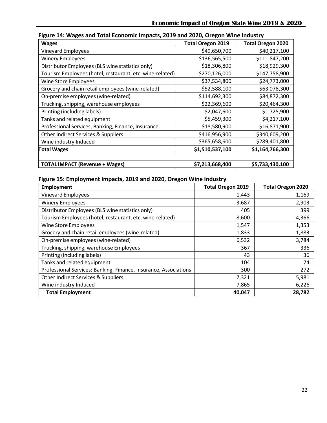| <b>Wages</b>                                             | <b>Total Oregon 2019</b> | <b>Total Oregon 2020</b> |
|----------------------------------------------------------|--------------------------|--------------------------|
| Vineyard Employees                                       | \$49,650,700             | \$40,217,100             |
| <b>Winery Employees</b>                                  | \$136,565,500            | \$111,847,200            |
| Distributor Employees (BLS wine statistics only)         | \$18,306,800             | \$18,929,300             |
| Tourism Employees (hotel, restaurant, etc. wine-related) | \$270,126,000            | \$147,758,900            |
| Wine Store Employees                                     | \$37,534,800             | \$24,773,000             |
| Grocery and chain retail employees (wine-related)        | \$52,588,100             | \$63,078,300             |
| On-premise employees (wine-related)                      | \$114,692,300            | \$84,872,300             |
| Trucking, shipping, warehouse employees                  | \$22,369,600             | \$20,464,300             |
| Printing (including labels)                              | \$2,047,600              | \$1,725,900              |
| Tanks and related equipment                              | \$5,459,300              | \$4,217,100              |
| Professional Services, Banking, Finance, Insurance       | \$18,580,900             | \$16,871,900             |
| Other Indirect Services & Suppliers                      | \$416,956,900            | \$340,609,200            |
| Wine industry Induced                                    | \$365,658,600            | \$289,401,800            |
| <b>Total Wages</b>                                       | \$1,510,537,100          | \$1,164,766,300          |
|                                                          |                          |                          |
| <b>TOTAL IMPACT (Revenue + Wages)</b>                    | \$7,213,668,400          | \$5,733,430,100          |

#### **Figure 14: Wages and Total Economic Impacts, 2019 and 2020, Oregon Wine Industry**

#### **Figure 15: Employment Impacts, 2019 and 2020, Oregon Wine Industry**

| Employment                                                       | <b>Total Oregon 2019</b> | <b>Total Oregon 2020</b> |
|------------------------------------------------------------------|--------------------------|--------------------------|
| Vineyard Employees                                               | 1,443                    | 1,169                    |
| <b>Winery Employees</b>                                          | 3,687                    | 2,903                    |
| Distributor Employees (BLS wine statistics only)                 | 405                      | 399                      |
| Tourism Employees (hotel, restaurant, etc. wine-related)         | 8,600                    | 4,366                    |
| <b>Wine Store Employees</b>                                      | 1,547                    | 1,353                    |
| Grocery and chain retail employees (wine-related)                | 1,833                    | 1,883                    |
| On-premise employees (wine-related)                              | 6,532                    | 3,784                    |
| Trucking, shipping, warehouse Employees                          | 367                      | 336                      |
| Printing (including labels)                                      | 43                       | 36                       |
| Tanks and related equipment                                      | 104                      | 74                       |
| Professional Services: Banking, Finance, Insurance, Associations | 300                      | 272                      |
| Other Indirect Services & Suppliers                              | 7,321                    | 5,981                    |
| Wine industry Induced                                            | 7,865                    | 6,226                    |
| <b>Total Employment</b>                                          | 40,047                   | 28,782                   |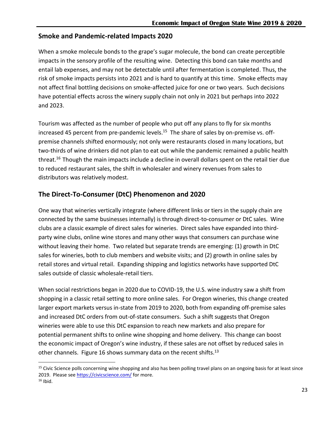#### <span id="page-23-0"></span>**Smoke and Pandemic-related Impacts 2020**

When a smoke molecule bonds to the grape's sugar molecule, the bond can create perceptible impacts in the sensory profile of the resulting wine. Detecting this bond can take months and entail lab expenses, and may not be detectable until after fermentation is completed. Thus, the risk of smoke impacts persists into 2021 and is hard to quantify at this time. Smoke effects may not affect final bottling decisions on smoke-affected juice for one or two years. Such decisions have potential effects across the winery supply chain not only in 2021 but perhaps into 2022 and 2023.

Tourism was affected as the number of people who put off any plans to fly for six months increased 45 percent from pre-pandemic levels.<sup>15</sup> The share of sales by on-premise vs. offpremise channels shifted enormously; not only were restaurants closed in many locations, but two-thirds of wine drinkers did not plan to eat out while the pandemic remained a public health threat.<sup>16</sup> Though the main impacts include a decline in overall dollars spent on the retail tier due to reduced restaurant sales, the shift in wholesaler and winery revenues from sales to distributors was relatively modest.

#### <span id="page-23-1"></span>**The Direct-To-Consumer (DtC) Phenomenon and 2020**

One way that wineries vertically integrate (where different links or tiers in the supply chain are connected by the same businesses internally) is through direct-to-consumer or DtC sales. Wine clubs are a classic example of direct sales for wineries. Direct sales have expanded into thirdparty wine clubs, online wine stores and many other ways that consumers can purchase wine without leaving their home. Two related but separate trends are emerging: (1) growth in DtC sales for wineries, both to club members and website visits; and (2) growth in online sales by retail stores and virtual retail. Expanding shipping and logistics networks have supported DtC sales outside of classic wholesale-retail tiers.

When social restrictions began in 2020 due to COVID-19, the U.S. wine industry saw a shift from shopping in a classic retail setting to more online sales. For Oregon wineries, this change created larger export markets versus in-state from 2019 to 2020, both from expanding off-premise sales and increased DtC orders from out-of-state consumers. Such a shift suggests that Oregon wineries were able to use this DtC expansion to reach new markets and also prepare for potential permanent shifts to online wine shopping and home delivery. This change can boost the economic impact of Oregon's wine industry, if these sales are not offset by reduced sales in other channels. Figure 16 shows summary data on the recent shifts.<sup>13</sup>

 $\overline{a}$ 

<sup>&</sup>lt;sup>15</sup> Civic Science polls concerning wine shopping and also has been polling travel plans on an ongoing basis for at least since 2019. Please see<https://civicscience.com/> for more.

 $16$  Ibid.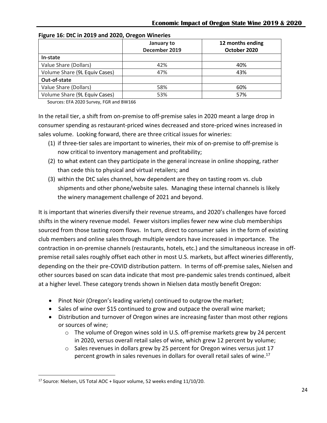|                               | January to<br>December 2019 | 12 months ending<br>October 2020 |
|-------------------------------|-----------------------------|----------------------------------|
| In-state                      |                             |                                  |
| Value Share (Dollars)         | 42%                         | 40%                              |
| Volume Share (9L Equiv Cases) | 47%                         | 43%                              |
| Out-of-state                  |                             |                                  |
| Value Share (Dollars)         | 58%                         | 60%                              |
| Volume Share (9L Equiv Cases) | 53%                         | 57%                              |

#### **Figure 16: DtC in 2019 and 2020, Oregon Wineries**

Sources: EFA 2020 Survey, FGR and BW166

In the retail tier, a shift from on-premise to off-premise sales in 2020 meant a large drop in consumer spending as restaurant-priced wines decreased and store-priced wines increased in sales volume. Looking forward, there are three critical issues for wineries:

- (1) if three-tier sales are important to wineries, their mix of on-premise to off-premise is now critical to inventory management and profitability;
- (2) to what extent can they participate in the general increase in online shopping, rather than cede this to physical and virtual retailers; and
- (3) within the DtC sales channel, how dependent are they on tasting room vs. club shipments and other phone/website sales. Managing these internal channels is likely the winery management challenge of 2021 and beyond.

It is important that wineries diversify their revenue streams, and 2020's challenges have forced shifts in the winery revenue model. Fewer visitors implies fewer new wine club memberships sourced from those tasting room flows. In turn, direct to consumer sales in the form of existing club members and online sales through multiple vendors have increased in importance. The contraction in on-premise channels (restaurants, hotels, etc.) and the simultaneous increase in offpremise retail sales roughly offset each other in most U.S. markets, but affect wineries differently, depending on the their pre-COVID distribution pattern. In terms of off-premise sales, Nielsen and other sources based on scan data indicate that most pre-pandemic sales trends continued, albeit at a higher level. These category trends shown in Nielsen data mostly benefit Oregon:

- Pinot Noir (Oregon's leading variety) continued to outgrow the market;
- Sales of wine over \$15 continued to grow and outpace the overall wine market;
- Distribution and turnover of Oregon wines are increasing faster than most other regions or sources of wine;
	- $\circ$  The volume of Oregon wines sold in U.S. off-premise markets grew by 24 percent in 2020, versus overall retail sales of wine, which grew 12 percent by volume;
	- $\circ$  Sales revenues in dollars grew by 25 percent for Oregon wines versus just 17 percent growth in sales revenues in dollars for overall retail sales of wine. 17

 $\overline{\phantom{a}}$ 

<sup>&</sup>lt;sup>17</sup> Source: Nielsen, US Total AOC + liquor volume, 52 weeks ending 11/10/20.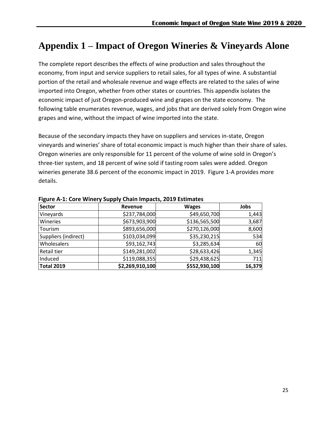# <span id="page-25-0"></span>**Appendix 1 – Impact of Oregon Wineries & Vineyards Alone**

The complete report describes the effects of wine production and sales throughout the economy, from input and service suppliers to retail sales, for all types of wine. A substantial portion of the retail and wholesale revenue and wage effects are related to the sales of wine imported into Oregon, whether from other states or countries. This appendix isolates the economic impact of just Oregon-produced wine and grapes on the state economy. The following table enumerates revenue, wages, and jobs that are derived solely from Oregon wine grapes and wine, without the impact of wine imported into the state.

Because of the secondary impacts they have on suppliers and services in-state, Oregon vineyards and wineries' share of total economic impact is much higher than their share of sales. Oregon wineries are only responsible for 11 percent of the volume of wine sold in Oregon's three-tier system, and 18 percent of wine sold if tasting room sales were added. Oregon wineries generate 38.6 percent of the economic impact in 2019. Figure 1-A provides more details.

| <b>Sector</b>        | Revenue         | <b>Wages</b>  | Jobs   |
|----------------------|-----------------|---------------|--------|
| Vineyards            | \$237,784,000   | \$49,650,700  | 1,443  |
| Wineries             | \$673,903,900   | \$136,565,500 | 3,687  |
| Tourism              | \$893,656,000   | \$270,126,000 | 8,600  |
| Suppliers (indirect) | \$103,034,099   | \$35,230,215  | 534    |
| <b>Wholesalers</b>   | \$93,162,743    | \$3,285,634   | 60     |
| <b>Retail tier</b>   | \$149,281,002   | \$28,633,426  | 1,345  |
| Induced              | \$119,088,355   | \$29,438,625  | 711    |
| <b>Total 2019</b>    | \$2,269,910,100 | \$552,930,100 | 16,379 |

#### **Figure A-1: Core Winery Supply Chain Impacts, 2019 Estimates**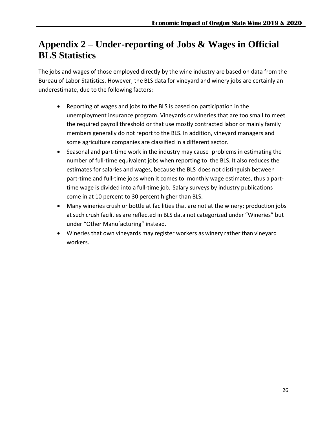# <span id="page-26-0"></span>**Appendix 2 – Under-reporting of Jobs & Wages in Official BLS Statistics**

The jobs and wages of those employed directly by the wine industry are based on data from the Bureau of Labor Statistics. However, the BLS data for vineyard and winery jobs are certainly an underestimate, due to the following factors:

- Reporting of wages and jobs to the BLS is based on participation in the unemployment insurance program. Vineyards or wineries that are too small to meet the required payroll threshold or that use mostly contracted labor or mainly family members generally do not report to the BLS. In addition, vineyard managers and some agriculture companies are classified in a different sector.
- Seasonal and part-time work in the industry may cause problems in estimating the number of full-time equivalent jobs when reporting to the BLS. It also reduces the estimates for salaries and wages, because the BLS does not distinguish between part-time and full-time jobs when it comes to monthly wage estimates, thus a parttime wage is divided into a full-time job. Salary surveys by industry publications come in at 10 percent to 30 percent higher than BLS.
- Many wineries crush or bottle at facilities that are not at the winery; production jobs at such crush facilities are reflected in BLS data not categorized under "Wineries" but under "Other Manufacturing" instead.
- Wineries that own vineyards may register workers as winery rather than vineyard workers.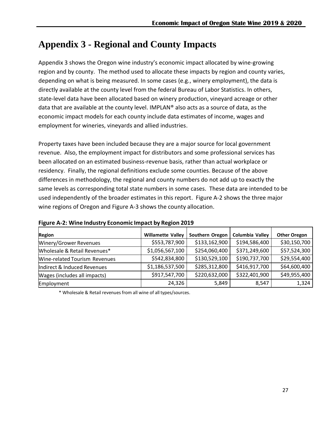# <span id="page-27-0"></span>**Appendix 3 - Regional and County Impacts**

Appendix 3 shows the Oregon wine industry's economic impact allocated by wine-growing region and by county. The method used to allocate these impacts by region and county varies, depending on what is being measured. In some cases (e.g., winery employment), the data is directly available at the county level from the federal Bureau of Labor Statistics. In others, state-level data have been allocated based on winery production, vineyard acreage or other data that are available at the county level. IMPLAN® also acts as a source of data, as the economic impact models for each county include data estimates of income, wages and employment for wineries, vineyards and allied industries.

Property taxes have been included because they are a major source for local government revenue. Also, the employment impact for distributors and some professional services has been allocated on an estimated business-revenue basis, rather than actual workplace or residency. Finally, the regional definitions exclude some counties. Because of the above differences in methodology, the regional and county numbers do not add up to exactly the same levels as corresponding total state numbers in some cases. These data are intended to be used independently of the broader estimates in this report. Figure A-2 shows the three major wine regions of Oregon and Figure A-3 shows the county allocation.

| <b>Region</b>                 | <b>Willamette Valley</b> | Southern Oregon | Columbia Valley | <b>Other Oregon</b> |
|-------------------------------|--------------------------|-----------------|-----------------|---------------------|
| Winery/Grower Revenues        | \$553,787,900            | \$133,162,900   | \$194,586,400   | \$30,150,700        |
| Wholesale & Retail Revenues*  | \$1,056,567,100          | \$254,060,400   | \$371,249,600   | \$57,524,300        |
| Wine-related Tourism Revenues | \$542,834,800            | \$130,529,100   | \$190,737,700   | \$29,554,400        |
| Indirect & Induced Revenues   | \$1,186,537,500          | \$285,312,800   | \$416,917,700   | \$64,600,400        |
| Wages (includes all impacts)  | \$917,547,700            | \$220,632,000   | \$322,401,900   | \$49,955,400        |
| Employment                    | 24,326                   | 5,849           | 8,547           | 1,324               |

**Figure A-2: Wine Industry Economic Impact by Region 2019**

\* Wholesale & Retail revenuesfrom all wine of all types/sources.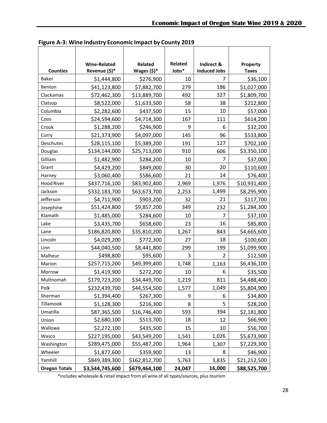|                      | <b>Wine-Related</b> | Related        | Related | Indirect &          | Property     |
|----------------------|---------------------|----------------|---------|---------------------|--------------|
| <b>Counties</b>      | Revenue (\$)*       | Wages $(\$)^*$ | Jobs*   | <b>Induced Jobs</b> | <b>Taxes</b> |
| <b>Baker</b>         | \$1,444,800         | \$276,900      | 10      | 7                   | \$36,100     |
| Benton               | \$41,123,800        | \$7,882,700    | 279     | 186                 | \$1,027,000  |
| Clackamas            | \$72,462,300        | \$13,889,700   | 492     | 327                 | \$1,809,700  |
| Clatsop              | \$8,522,000         | \$1,633,500    | 58      | 38                  | \$212,800    |
| Columbia             | \$2,282,600         | \$437,500      | 15      | 10                  | \$57,000     |
| Coos                 | \$24,594,600        | \$4,714,300    | 167     | 111                 | \$614,200    |
| Crook                | \$1,288,200         | \$246,900      | 9       | 6                   | \$32,200     |
| Curry                | \$21,373,900        | \$4,097,000    | 145     | 96                  | \$533,800    |
| Deschutes            | \$28,115,100        | \$5,389,200    | 191     | 127                 | \$702,100    |
| Douglas              | \$134,144,000       | \$25,713,000   | 910     | 606                 | \$3,350,100  |
| Gilliam              | \$1,482,900         | \$284,200      | 10      | 7                   | \$37,000     |
| Grant                | \$4,429,200         | \$849,000      | 30      | 20                  | \$110,600    |
| Harney               | \$3,060,400         | \$586,600      | 21      | 14                  | \$76,400     |
| <b>Hood River</b>    | \$437,716,100       | \$83,902,400   | 2,969   | 1,976               | \$10,931,400 |
| Jackson              | \$332,183,700       | \$63,673,700   | 2,253   | 1,499               | \$8,295,900  |
| Jefferson            | \$4,711,900         | \$903,200      | 32      | 21                  | \$117,700    |
| Josephine            | \$51,424,800        | \$9,857,200    | 349     | 232                 | \$1,284,300  |
| Klamath              | \$1,485,000         | \$284,600      | 10      | 7                   | \$37,100     |
| Lake                 | \$3,435,700         | \$658,600      | 23      | 16                  | \$85,800     |
| Lane                 | \$186,820,800       | \$35,810,200   | 1,267   | 843                 | \$4,665,600  |
| Lincoln              | \$4,029,200         | \$772,300      | 27      | 18                  | \$100,600    |
| Linn                 | \$44,040,500        | \$8,441,800    | 299     | 199                 | \$1,099,900  |
| Malheur              | \$498,800           | \$95,600       | 3       | $\overline{2}$      | \$12,500     |
| Marion               | \$257,715,200       | \$49,399,400   | 1,748   | 1,163               | \$6,436,100  |
| Morrow               | \$1,419,900         | \$272,200      | 10      | 6                   | \$35,500     |
| Multnomah            | \$179,723,200       | \$34,449,700   | 1,219   | 811                 | \$4,488,400  |
| Polk                 | \$232,439,700       | \$44,554,500   | 1,577   | 1,049               | \$5,804,900  |
| Sherman              | \$1,394,400         | \$267,300      | 9       | 6                   | \$34,800     |
| Tillamook            | \$1,128,300         | \$216,300      | 8       | 5                   | \$28,200     |
| Umatilla             | \$87,365,500        | \$16,746,400   | 593     | 394                 | \$2,181,800  |
| Union                | \$2,680,100         | \$513,700      | 18      | 12                  | \$66,900     |
| Wallowa              | \$2,272,100         | \$435,500      | 15      | 10                  | \$56,700     |
| Wasco                | \$227,195,000       | \$43,549,200   | 1,541   | 1,026               | \$5,673,900  |
| Washington           | \$289,475,000       | \$55,487,200   | 1,964   | 1,307               | \$7,229,300  |
| Wheeler              | \$1,877,600         | \$359,900      | 13      | 8                   | \$46,900     |
| Yamhill              | \$849,389,300       | \$162,812,700  | 5,763   | 3,835               | \$21,212,500 |
| <b>Oregon Totals</b> | \$3,544,745,600     | \$679,464,100  | 24,047  | 16,000              | \$88,525,700 |

**Figure A-3: Wine Industry Economic Impact by County 2019**

\*includes wholesale & retail impact from all wine of all types/sources, plus tourism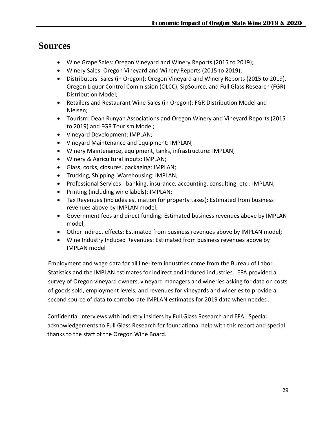### <span id="page-29-0"></span>**Sources**

- Wine Grape Sales: Oregon Vineyard and Winery Reports (2015 to 2019);
- Winery Sales: Oregon Vineyard and Winery Reports (2015 to 2019);
- Distributors' Sales (in Oregon): Oregon Vineyard and Winery Reports (2015 to 2019), Oregon Liquor Control Commission (OLCC), SipSource, and Full Glass Research (FGR) Distribution Model;
- Retailers and Restaurant Wine Sales (in Oregon): FGR Distribution Model and Nielsen;
- Tourism: Dean Runyan Associations and Oregon Winery and Vineyard Reports (2015 to 2019) and FGR Tourism Model;
- Vineyard Development: IMPLAN;
- Vineyard Maintenance and equipment: IMPLAN;
- Winery Maintenance, equipment, tanks, infrastructure: IMPLAN;
- Winery & Agricultural inputs: IMPLAN;
- Glass, corks, closures, packaging: IMPLAN;
- Trucking, Shipping, Warehousing: IMPLAN;
- Professional Services banking, insurance, accounting, consulting, etc.: IMPLAN;
- Printing (including wine labels): IMPLAN;
- Tax Revenues (includes estimation for property taxes): Estimated from business revenues above by IMPLAN model;
- Government fees and direct funding: Estimated business revenues above by IMPLAN model;
- Other Indirect effects: Estimated from business revenues above by IMPLAN model;
- Wine Industry Induced Revenues: Estimated from business revenues above by IMPLAN model

Employment and wage data for all line-item industries come from the Bureau of Labor Statistics and the IMPLAN estimates for indirect and induced industries. EFA provided a survey of Oregon vineyard owners, vineyard managers and wineries asking for data on costs of goods sold, employment levels, and revenues for vineyards and wineries to provide a second source of data to corroborate IMPLAN estimates for 2019 data when needed.

Confidential interviews with industry insiders by Full Glass Research and EFA. Special acknowledgements to Full Glass Research for foundational help with this report and special thanks to the staff of the Oregon Wine Board.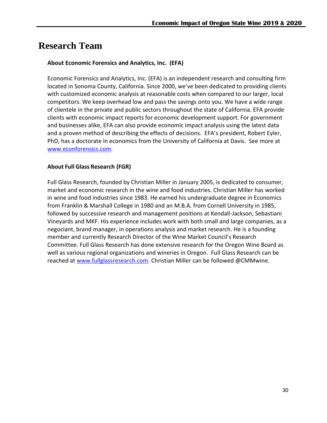### **Research Team**

#### **About Economic Forensics and Analytics, Inc. (EFA)**

Economic Forensics and Analytics, Inc. (EFA) is an independent research and consulting firm located in Sonoma County, California. Since 2000, we've been dedicated to providing clients with customized economic analysis at reasonable costs when compared to our larger, local competitors. We keep overhead low and pass the savings onto you. We have a wide range of clientele in the private and public sectors throughout the state of California. EFA provide clients with economic impact reports for economic development support. For government and businesses alike, EFA can also provide economic impact analysis using the latest data and a proven method of describing the effects of decisions. EFA's president, Robert Eyler, PhD, has a doctorate in economics from the University of California at Davis. See more at [www.econforensics.com.](http://www.econforensics.com/)

#### **About Full Glass Research (FGR)**

Full Glass Research, founded by Christian Miller in January 2005, is dedicated to consumer, market and economic research in the wine and food industries. Christian Miller has worked in wine and food industries since 1983. He earned his undergraduate degree in Economics from Franklin & Marshall College in 1980 and an M.B.A. from Cornell University in 1985, followed by successive research and management positions at Kendall-Jackson, Sebastiani Vineyards and MKF. His experience includes work with both small and large companies, as a negociant, brand manager, in operations analysis and market research. He is a founding member and currently Research Director of the Wine Market Council's Research Committee. Full Glass Research has done extensive research for the Oregon Wine Board as well as various regional organizations and wineries in Oregon. Full Glass Research can be reached at [www.fullglassresearch.com.](http://www.fullglassresearch.com/) Christian Miller can be followed @CMMwine.